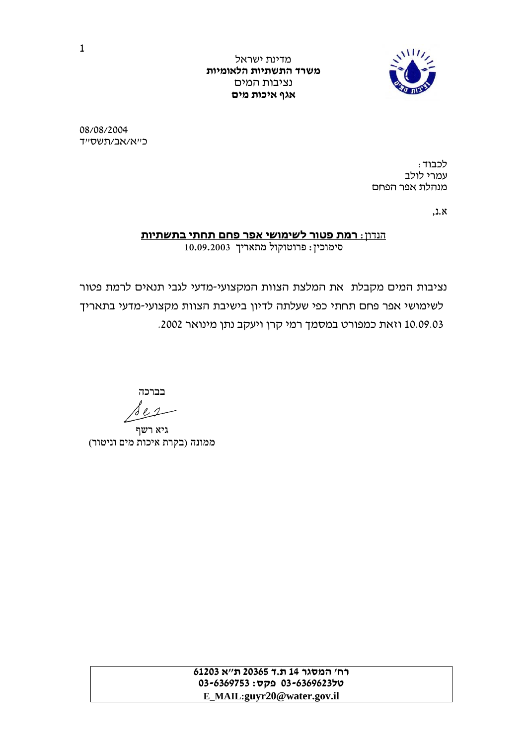

מדינת ישראל<br>**משרד התשתיות הלאומיות אגף איכות מים** נציבות המים

08/08/2004

כ״א/אב/תשס״ד<br>עמרי לולב<br>מנהלת אפר הפחם<br>מנהלת אפר הפחם

א.נ,

## סימוכין: פרוטוקול מתאריך 10.09.2003 הנדון: **רמת פטור לשימושי אפר פחם תחתי בתשתיות**

נציבות המים מקבלת את המלצת הצוות המקצועי-מדעי לגבי תנאים לרמת פטור לשימושי אפר פחם תחתי כפי שעלתה לדיון בישיבת הצוות מקצועי-מדעי בתאריך 10.09.03 וזאת כמפורט במסמך רמי קרן ויעקב נתן מינואר .2002

בברכה

 $\mathcal{L}$ s e

גיא רשף<br>ממונה (בקרת איכות מים וניטור)

**טל03-6369623 פקס: 03-6369753 רח' המסגר <sup>14</sup> <sup>ת</sup>.<sup>ד</sup> <sup>20365</sup> <sup>ת</sup>"<sup>א</sup> <sup>61203</sup> E\_MAIL:guyr20@water.gov.il**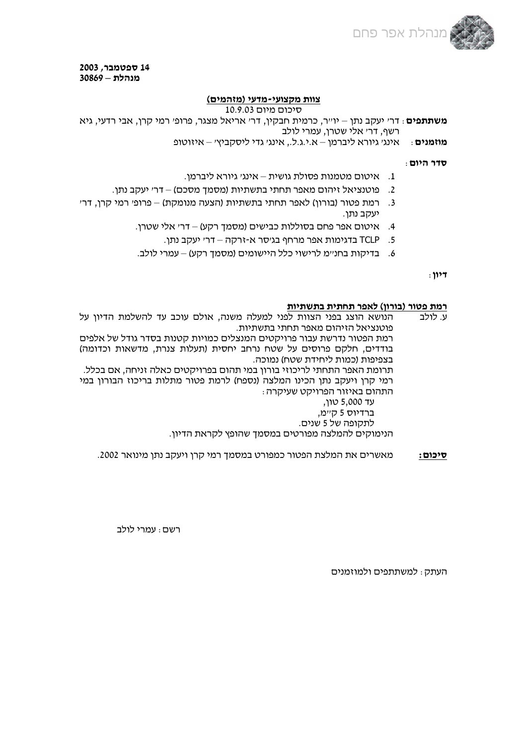

**14 ספטמבר, 2003 מנהלת – 30869** 

## **צוות מקצועי-מדעי (מזהמים)**

## סיכום מיום 10.9.03

**משתתפים**: דר' יעקב נתן – יו"ר, כרמית חבקין, דר' אריאל מצגר, פרופ' רמי קרן, אבי רדעי, גיא רשף, דר' אלי שטרן, עמרי לולב

**מוזמנים**: אינג' גיורא ליברמן – א.י.ג.ל,. אינג' גדי ליסקביץ' – איזוטופ

**סדר היום**:

- .1 איטום מטמנות פסולת גושית אינג' גיורא ליברמן.
- .2 פוטנציאל זיהום מאפר תחתי בתשתיות (מסמך מסכם) דר' יעקב נתן.
- .3 רמת פטור (בורון) לאפר תחתי בתשתיות (הצעה מנומקת) פרופ' רמי קרן, דר' יעקב נתן.
	- .4 איטום אפר פחם בסוללות כבישים (מסמך רקע) דר' אלי שטרן.
		- .5 TCLP בדגימות אפר מרחף בג'סר א- זרקה דר' יעקב נתן.
	- .6 בדיקות בחנ"מ לרישוי כלל היישומים (מסמך רקע) עמרי לולב.

**דיון**:

## **רמת פטור (בורון) לאפר תחתית בתשתיות**

ע. לולב הנושא הוצג בפני הצוות לפני למעלה משנה, אולם עוכב עד להשלמת הדיון על<br>פוטנציאל הזיהום מאפר תחתי בתשתיות. רמת הפטור נדרשת עבור פרויקטים המנצלים כמויות קטנות בסדר גודל של אלפים<br>בודדים, חלקם פרוסים על שטח נרחב יחסית (תעלות צנרת, מדשאות וכדומה)<br>בצפיפות (כמות ליחידת שטח) נמוכה.<br>תרומת האפר התחתי לריכוזי בורון במי תהום בפרויקטים כא

**סיכום:** מאשרים את המלצת הפטור כמפורט במסמך רמי קרן ויעקב נתן מינואר .2002

רשם: עמרי לולב

העתק: למשתתפים ולמוזמנים